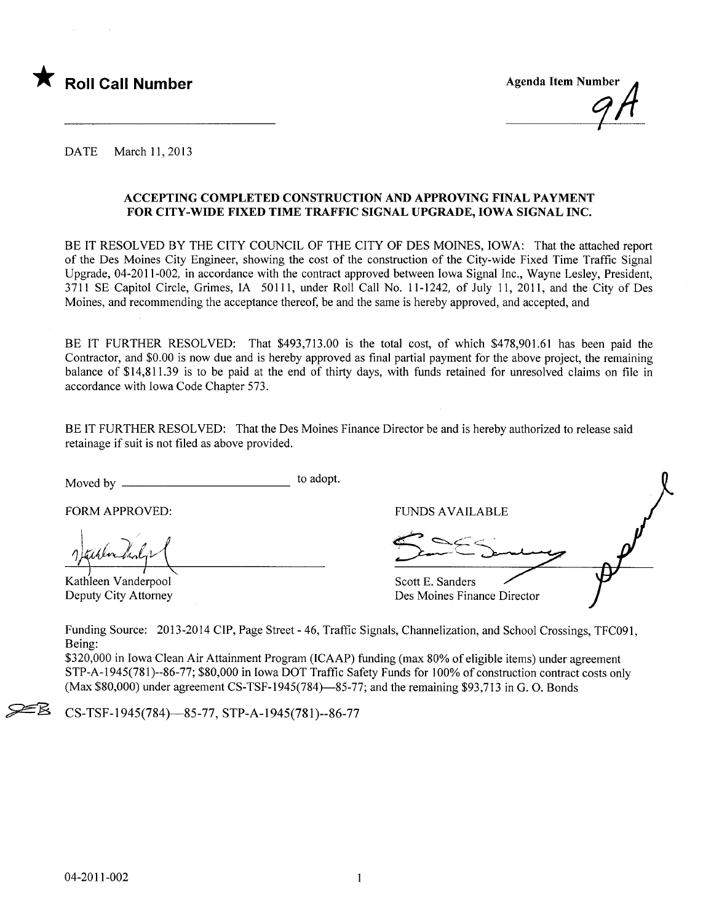

DATE March 11, 2013

#### ACCEPTING COMPLETED CONSTRUCTION AND APPROVING FINAL PAYMENT FOR CITY-WIDE FIXED TIME TRAFFIC SIGNAL UPGRADE, IOWA SIGNAL INC.

BE IT RESOLVED BY THE CITY COUNCIL OF THE CITY OF DES MOINES, IOWA: That the attached report of the Des Moines City Engineer, showing the cost of the construction of the City-wide Fixed Time Traffic Signal Upgrade, 04-2011-002, in accordance with the contract approved between Iowa Signal Inc., Wayne Lesley, President, 3711 SE Capitol Circle, Grimes, IA 50111, under Roll Call No.1 1-1242, of July 11, 2011, and the City of Des Moines, and recommending the acceptance thereof, be and the same is hereby approved, and accepted, and

BE IT FURTHER RESOLVED: That \$493,713.00 is the total cost, of which \$478,901.61 has been paid the Contractor, and \$0.00 is now due and is hereby approved as final partial payment for the above project, the remaining balance of \$14,811.39 is to be paid at the end of thirty days, with funds retained for unresolved claims on file in accordance with Iowa Code Chapter 573.

BE IT FURTHER RESOLVED: That the Des Moines Finance Director be and is hereby authorized to release said retainage if suit is not fied as above provided.

Moved by to adopt.

FORM APPROVED:

Kathleen Vanderpool Deputy City Attorney

| <b>FUNDS AVAILABLE</b>                          |  |
|-------------------------------------------------|--|
|                                                 |  |
| Scott E. Sanders<br>Des Moines Finance Director |  |

Funding Source: 2013-2014 CIP, Page Street - 46, Traffic Signals, Channelization, and School Crossings, TFC091, Being:

\$320,000 in Iowa Clean Air Attainment Program (ICAAP) funding (max 80% of eligible items) under agreement STP-A-1945(781 )--86-77; \$80,000 in Iowa DOT Traffc Safety Funds for 100% of construction contract costs only  $(Max $80,000)$  under agreement CS-TSF-1945(784)—85-77; and the remaining \$93,713 in G. O. Bonds

~ CS-TSF-1945(784)-85-77, STP-A-1945(781)--86-77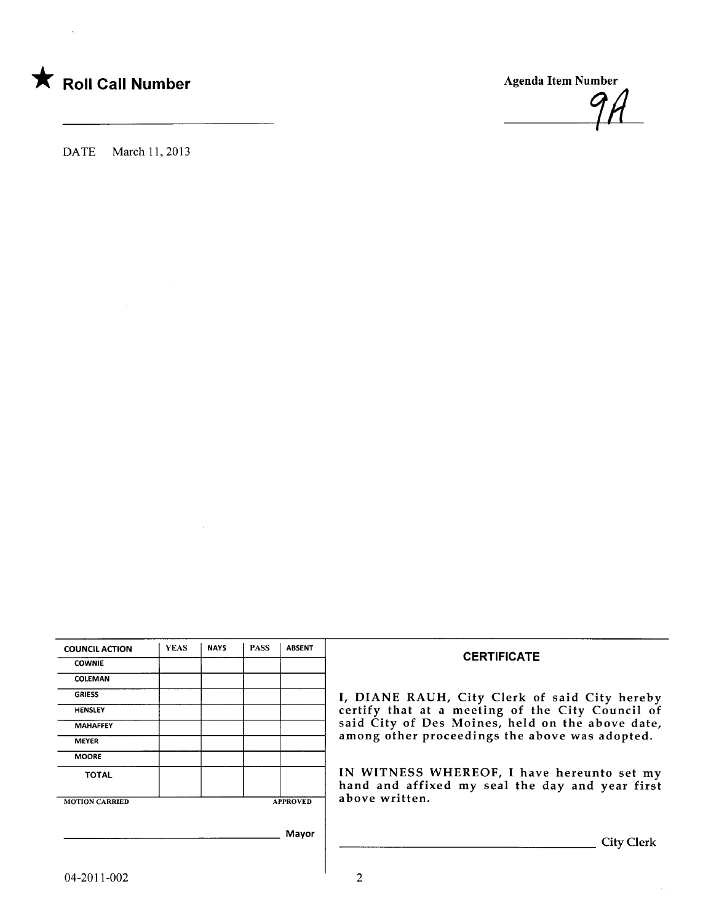

DATE March 11, 2013

| <b>COUNCIL ACTION</b> | <b>YEAS</b> | <b>NAYS</b> | <b>PASS</b> | <b>ABSENT</b>   |                 |
|-----------------------|-------------|-------------|-------------|-----------------|-----------------|
| <b>COWNIE</b>         |             |             |             |                 |                 |
| <b>COLEMAN</b>        |             |             |             |                 |                 |
| <b>GRIESS</b>         |             |             |             |                 | I, DIANE RAI    |
| <b>HENSLEY</b>        |             |             |             |                 | certify that at |
| <b>MAHAFFEY</b>       |             |             |             |                 | said City of D  |
| <b>MEYER</b>          |             |             |             |                 | among other p   |
| <b>MOORE</b>          |             |             |             |                 |                 |
| <b>TOTAL</b>          |             |             |             |                 | IN WITNESS      |
|                       |             |             |             |                 | hand and affi   |
| <b>MOTION CARRIED</b> |             |             |             | <b>APPROVED</b> | above written.  |
|                       |             |             |             | Mayor           |                 |
|                       |             |             |             |                 |                 |

#### **CERTIFICATE**

RAUH, City Clerk of said City hereby at a meeting of the City Council of f Des Moines, held on the above date, r proceedings the above was adopted.

SS WHEREOF, I have hereunto set my ffixed my seal the day and year first<br>en.

**City Clerk**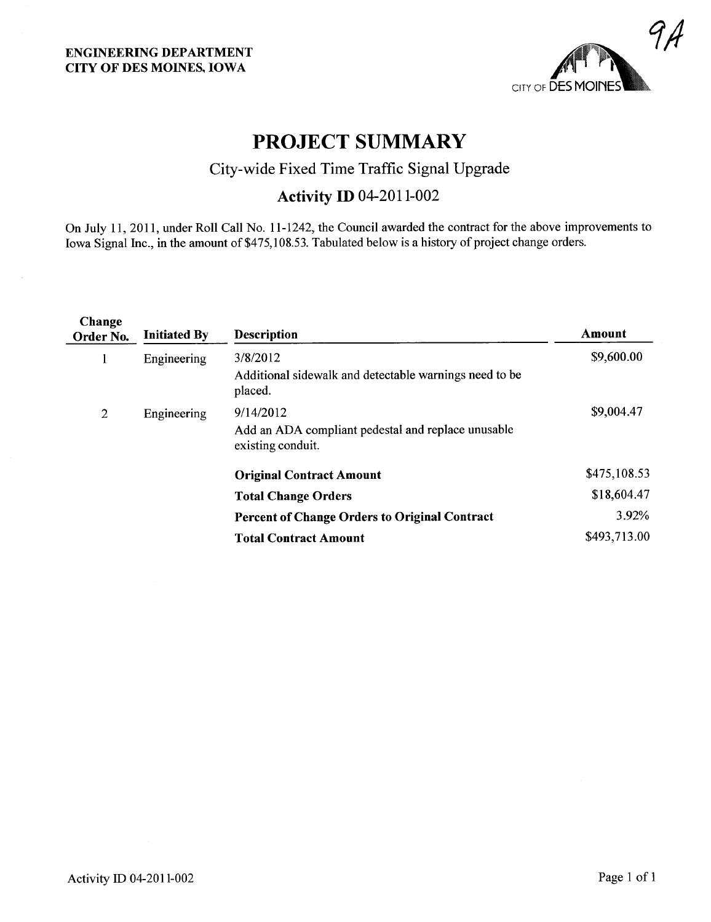

## PROJECT SUMMARY

## City-wide Fixed Time Traffic Signal Upgrade

### **Activity ID 04-2011-002**

On July 11,2011, under Roll Call No.1 1-1242, the Council awarded the contract for the above improvements to Iowa Signal Inc., in the amount of \$475,108.53. Tabulated below is a history of project change orders.

| Change<br>Order No. | <b>Initiated By</b> | <b>Description</b>                                                                   | Amount       |
|---------------------|---------------------|--------------------------------------------------------------------------------------|--------------|
|                     | Engineering         | 3/8/2012<br>Additional sidewalk and detectable warnings need to be<br>placed.        | \$9,600.00   |
| 2                   | Engineering         | 9/14/2012<br>Add an ADA compliant pedestal and replace unusable<br>existing conduit. | \$9,004.47   |
|                     |                     | <b>Original Contract Amount</b>                                                      | \$475,108.53 |
|                     |                     | <b>Total Change Orders</b>                                                           | \$18,604.47  |
|                     |                     | <b>Percent of Change Orders to Original Contract</b>                                 | 3.92%        |
|                     |                     | <b>Total Contract Amount</b>                                                         | \$493,713.00 |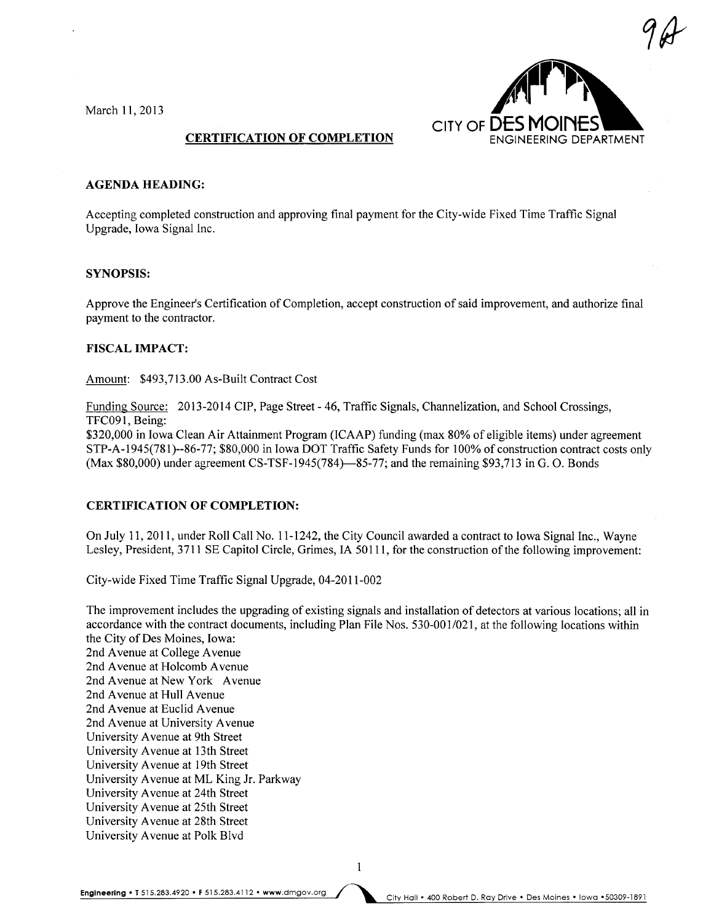March 11, 2013



#### CERTIFICATION OF COMPLETION

#### AGENDA HEADING:

Accepting completed construction and approving final payment for the City-wide Fixed Time Traffic Signal Upgrade, Iowa Signal Inc.

#### SYNOPSIS:

Approve the Engineer's Certification of Completion, accept construction of said improvement, and authorize final payment to the contractor.

#### FISCAL IMPACT:

Amount: \$493,713.00 As-Built Contract Cost

Funding Source: 2013-2014 CIP, Page Street - 46, Traffic Signals, Channelization, and School Crossings, TFC091, Being:

\$320,000 in Iowa Clean Air Attainment Program (ICAAP) funding (max 80% of eligible items) under agreement STP-A-1945(781)--86-77; \$80,000 in Iowa DOT Traffic Safety Funds for 100% of construction contract costs only  $(Max $80,000)$  under agreement CS-TSF-1945(784)—85-77; and the remaining \$93,713 in G. O. Bonds

#### CERTIFICATION OF COMPLETION:

On July 11, 2011, under Roll Call No. 11-1242, the City Council awarded a contract to Iowa Signal Inc., Wayne Lesley, President, 3711 SE Capitol Circle, Grimes, IA 50111, for the construction of the following improvement:

City-wide Fixed Time Traffic Signal Upgrade, 04-2011-002

The improvement includes the upgrading of existing signals and installation of detectors at various locations; all in accordance with the contract documents, including Plan File Nos. 530-001/021, at the following locations within the City of Des Moines, Iowa: 2nd Avenue at College Avenue 2nd Avenue at Holcomb Avenue 2nd Avenue at New York Avenue 2nd Avenue at Hull Avenue 2nd Avenue at Euclid Avenue 2nd Avenue at University Avenue University A venue at 9th Street University A venue at 13th Street University A venue at 19th Street University A venue at ML King Jr. Parkway University A venue at 24th Street University A venue at 25th Street University A venue at 28th Street University A venue at Polk Blvd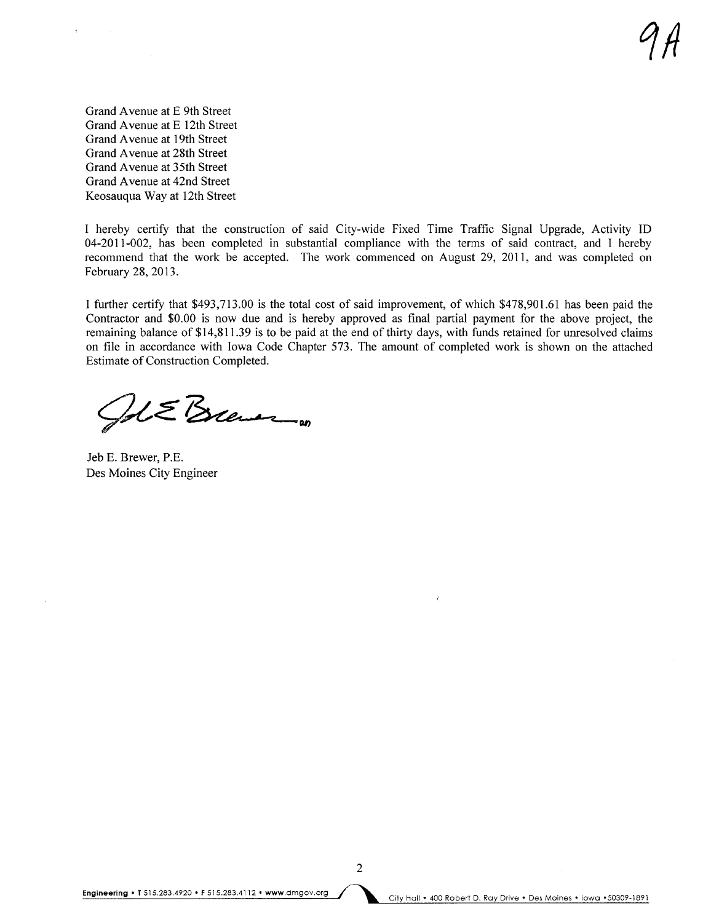Grand A venue at E 9th Street Grand A venue at E 12th Street Grand A venue at 19th Street Grand A venue at 28th Street Grand Avenue at 35th Street Grand A venue at 42nd Street Keosauqua Way at 12th Street

I hereby certify that the construction of said City-wide Fixed Time Traffic Signal Upgrade, Activity ID 04-2011-002, has been completed in substantial compliance with the terms of said contract, and I hereby recommend that the work be accepted. The work commenced on August 29, 2011, and was completed on February 28,2013.

I further certify that \$493,713.00 is the total cost of said improvement, of which \$478,901.61 has been paid the Contractor and \$0.00 is now due and is hereby approved as final partial payment for the above project, the remaining balance of \$14,811.39 is to be paid at the end of thirty days, with funds retained for unresolved claims on fie in accordance with Iowa Code Chapter 573. The amount of completed work is shown on the attached Estimate of Construction Completed.

 $1/2$   $\leq$   $\leq$   $\leq$   $\leq$   $\leq$ 

Jeb E. Brewer, P.E. Des Moines City Engineer